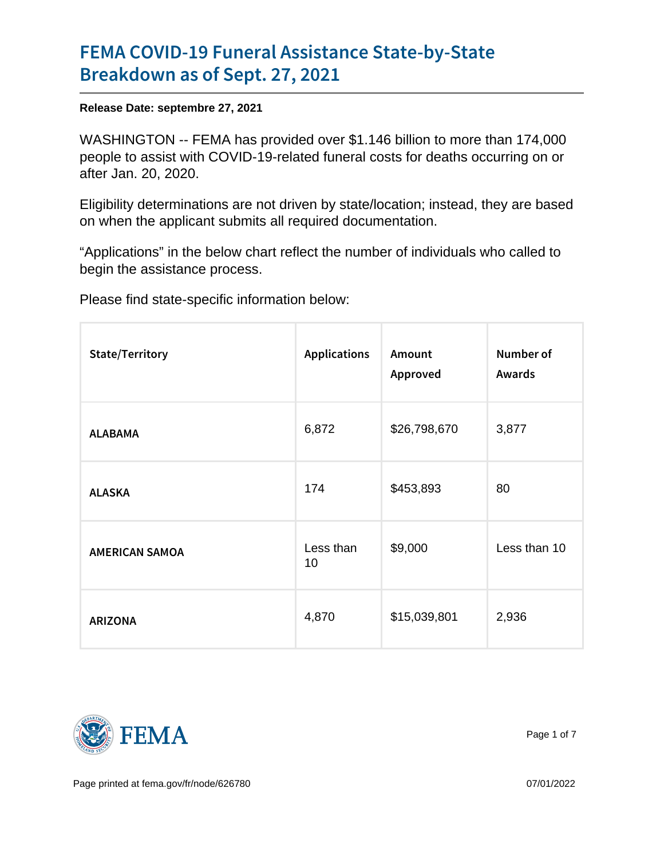## [FEMA COVID-19 Funeral Assis](https://www.fema.gov/press-release/20210927/fema-covid-19-funeral-assistance-state-state-breakdown)tance State [Breakdown as of S](https://www.fema.gov/press-release/20210927/fema-covid-19-funeral-assistance-state-state-breakdown)ept. 27, 2021

Release Date: septembre 27, 2021

WASHINGTON -- FEMA has provided over \$1.146 billion to more than 174,000 people to assist with COVID-19-related funeral costs for deaths occurring on or after Jan. 20, 2020.

Eligibility determinations are not driven by state/location; instead, they are based on when the applicant submits all required documentation.

"Applications" in the below chart reflect the number of individuals who called to begin the assistance process.

Please find state-specific information below:

| State/Territory |                 | ApplicatioAsnount<br>Approved | Number of<br>Awards |
|-----------------|-----------------|-------------------------------|---------------------|
| <b>ALABAMA</b>  | 6,872           | \$26,798,670                  | 3,877               |
| ALASKA          | 174             | \$453,893                     | 80                  |
| AMERICAN SAMOA  | Less than<br>10 | \$9,000                       | Less than 10        |
| ARIZONA         | 4,870           | \$15,039,801                  | 2,936               |



Page 1 of 7

Page printed at [fema.gov/fr/node/626780](https://www.fema.gov/fr/node/626780) 07/01/2022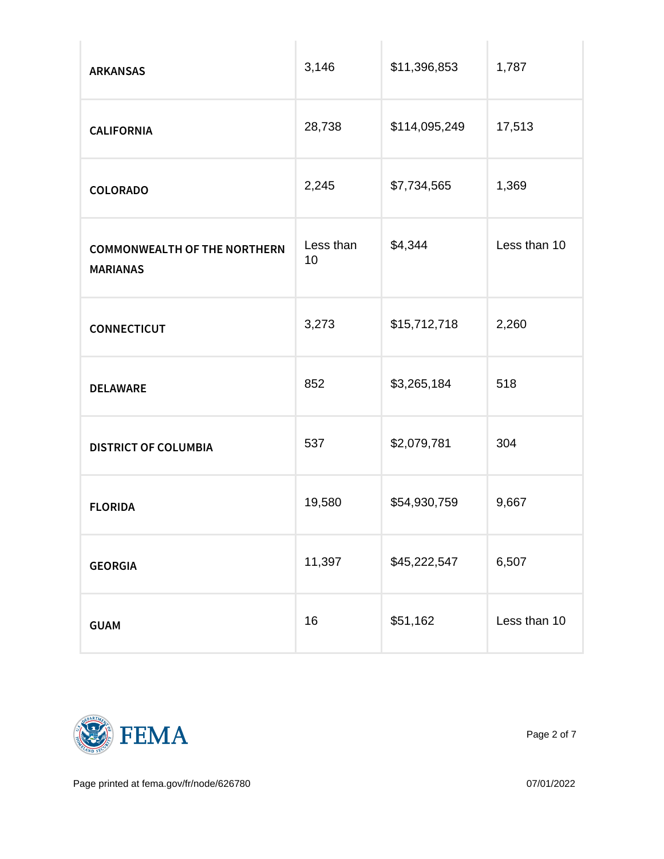| <b>ARKANSAS</b>                                 | 3,146  | \$11,396,853  | 1,787        |
|-------------------------------------------------|--------|---------------|--------------|
| CALIFORNIA                                      | 28,738 | \$114,095,249 | 17,513       |
| COLORADO                                        | 2,245  | \$7,734,565   | 1,369        |
| COMMONWEALTH OF THE ESSENTHE SEAS44<br>MARIANAS | 10     |               | Less than 10 |
| CONNECTICUT                                     | 3,273  | \$15,712,718  | 2,260        |
| DELAWARE                                        | 852    | \$3,265,184   | 518          |
| DISTRICT OF COLUMBIA <sup>537</sup>             |        | \$2,079,781   | 304          |
| <b>FLORIDA</b>                                  | 19,580 | \$54,930,759  | 9,667        |
| <b>GEORGIA</b>                                  | 11,397 | \$45,222,547  | 6,507        |
| GUAM                                            | 16     | \$51,162      | Less than 10 |



Page 2 of 7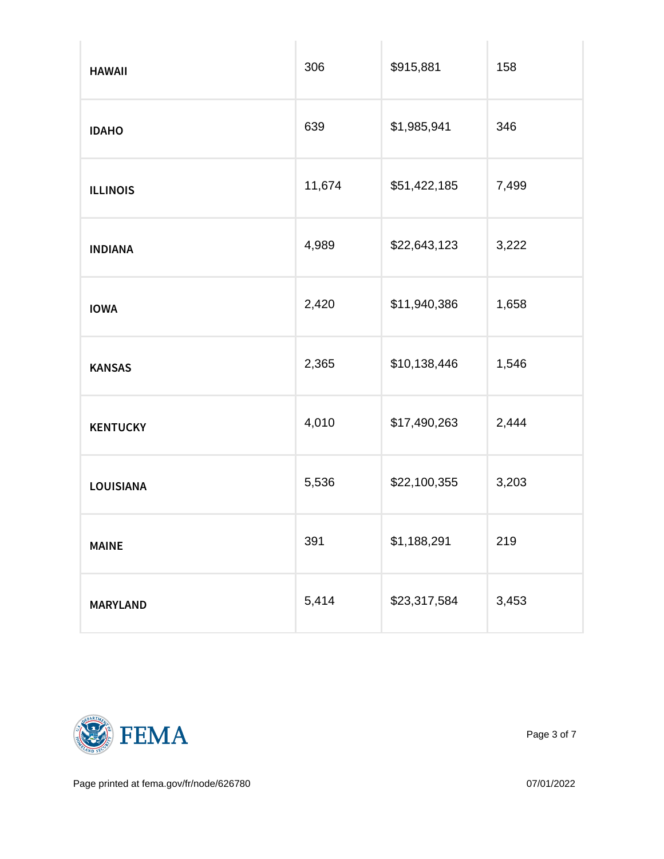| HAWAII          | 306    | \$915,881    | 158   |
|-----------------|--------|--------------|-------|
| IDAHO           | 639    | \$1,985,941  | 346   |
| <b>ILLINOIS</b> | 11,674 | \$51,422,185 | 7,499 |
| INDIANA         | 4,989  | \$22,643,123 | 3,222 |
| <b>IOWA</b>     | 2,420  | \$11,940,386 | 1,658 |
| KANSAS          | 2,365  | \$10,138,446 | 1,546 |
| KENTUCKY        | 4,010  | \$17,490,263 | 2,444 |
| LOUISIANA       | 5,536  | \$22,100,355 | 3,203 |
| MAINE           | 391    | \$1,188,291  | 219   |
| MARYLAND        | 5,414  | \$23,317,584 | 3,453 |



Page 3 of 7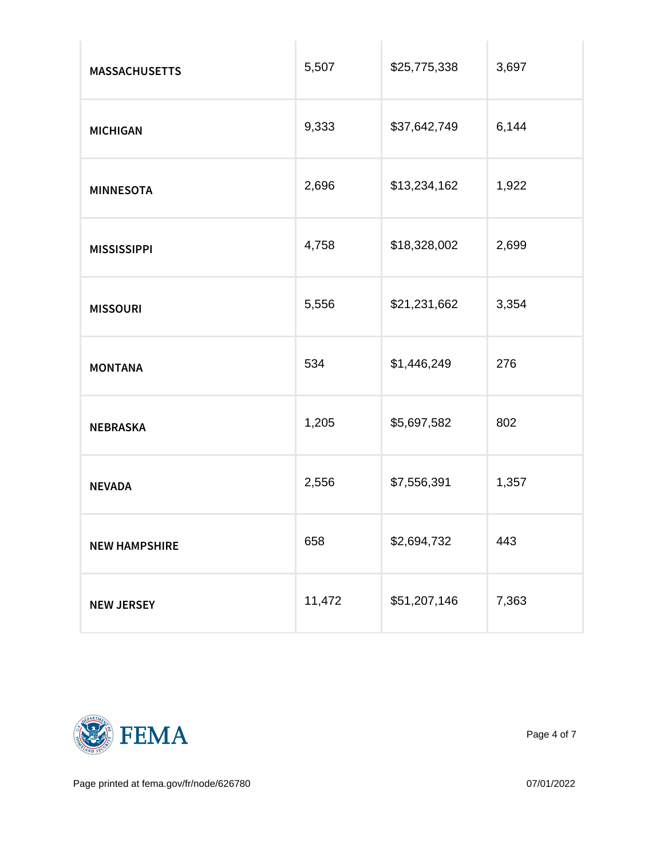| <b>MASSACHUSETTS</b> | 5,507  | \$25,775,338 | 3,697 |
|----------------------|--------|--------------|-------|
| MICHIGAN             | 9,333  | \$37,642,749 | 6,144 |
| MINNESOTA            | 2,696  | \$13,234,162 | 1,922 |
| <b>MISSISSIPPI</b>   | 4,758  | \$18,328,002 | 2,699 |
| <b>MISSOURI</b>      | 5,556  | \$21,231,662 | 3,354 |
| MONTANA              | 534    | \$1,446,249  | 276   |
| NEBRASKA             | 1,205  | \$5,697,582  | 802   |
| NEVADA               | 2,556  | \$7,556,391  | 1,357 |
| NEW HAMPSHIRE        | 658    | \$2,694,732  | 443   |
| NEW JERSEY           | 11,472 | \$51,207,146 | 7,363 |



Page 4 of 7

Page printed at [fema.gov/fr/node/626780](https://www.fema.gov/fr/node/626780) 07/01/2022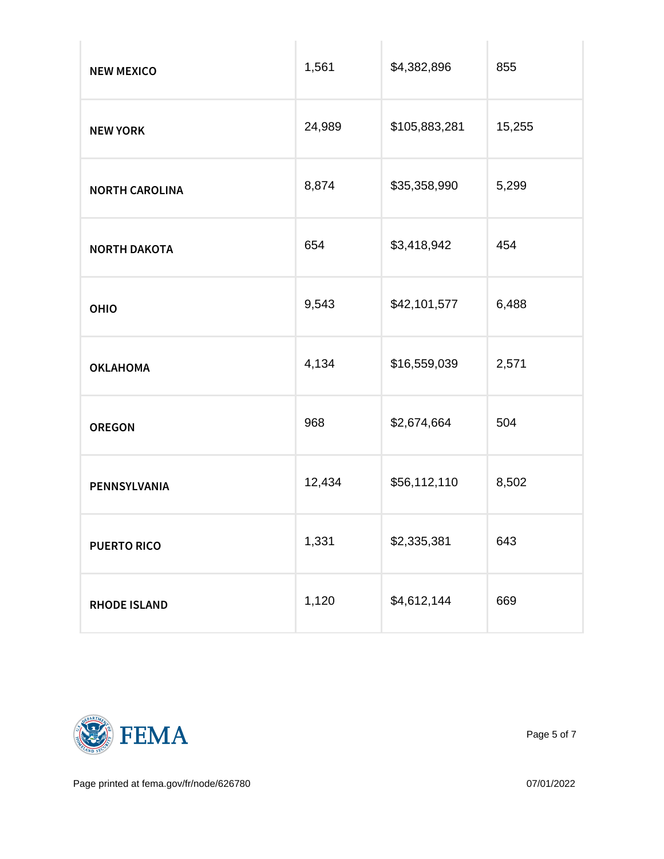| NEW MEXICO     | 1,561  | \$4,382,896   | 855    |
|----------------|--------|---------------|--------|
| NEW YORK       | 24,989 | \$105,883,281 | 15,255 |
| NORTH CAROLINA | 8,874  | \$35,358,990  | 5,299  |
| NORTH DAKOTA   | 654    | \$3,418,942   | 454    |
| OHIO           | 9,543  | \$42,101,577  | 6,488  |
| OKLAHOMA       | 4,134  | \$16,559,039  | 2,571  |
| OREGON         | 968    | \$2,674,664   | 504    |
| PENNSYLVANIA   | 12,434 | \$56,112,110  | 8,502  |
| PUERTO RICO    | 1,331  | \$2,335,381   | 643    |
| RHODE ISLAND   | 1,120  | \$4,612,144   | 669    |



Page 5 of 7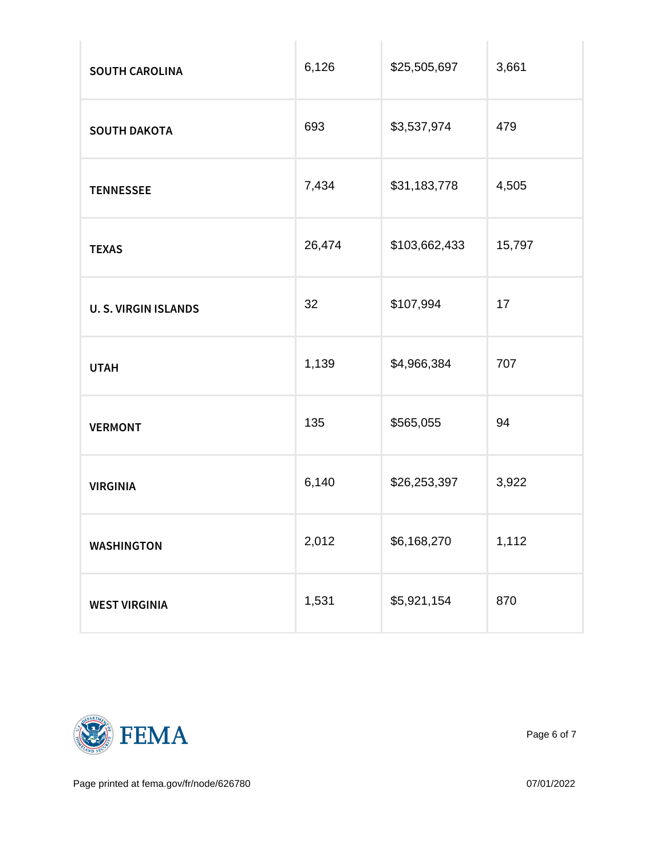| SOUTH CAROLINA       | 6,126  | \$25,505,697  | 3,661  |
|----------------------|--------|---------------|--------|
| SOUTH DAKOTA         | 693    | \$3,537,974   | 479    |
| <b>TENNESSEE</b>     | 7,434  | \$31,183,778  | 4,505  |
| <b>TEXAS</b>         | 26,474 | \$103,662,433 | 15,797 |
| U. S. VIRGIN ISLANDS | 32     | \$107,994     | 17     |
| UTAH                 | 1,139  | \$4,966,384   | 707    |
| VERMONT              | 135    | \$565,055     | 94     |
| <b>VIRGINIA</b>      | 6,140  | \$26,253,397  | 3,922  |
| WASHINGTON           | 2,012  | \$6,168,270   | 1,112  |
| WEST VIRGINIA        | 1,531  | \$5,921,154   | 870    |



Page 6 of 7

Page printed at [fema.gov/fr/node/626780](https://www.fema.gov/fr/node/626780) 07/01/2022